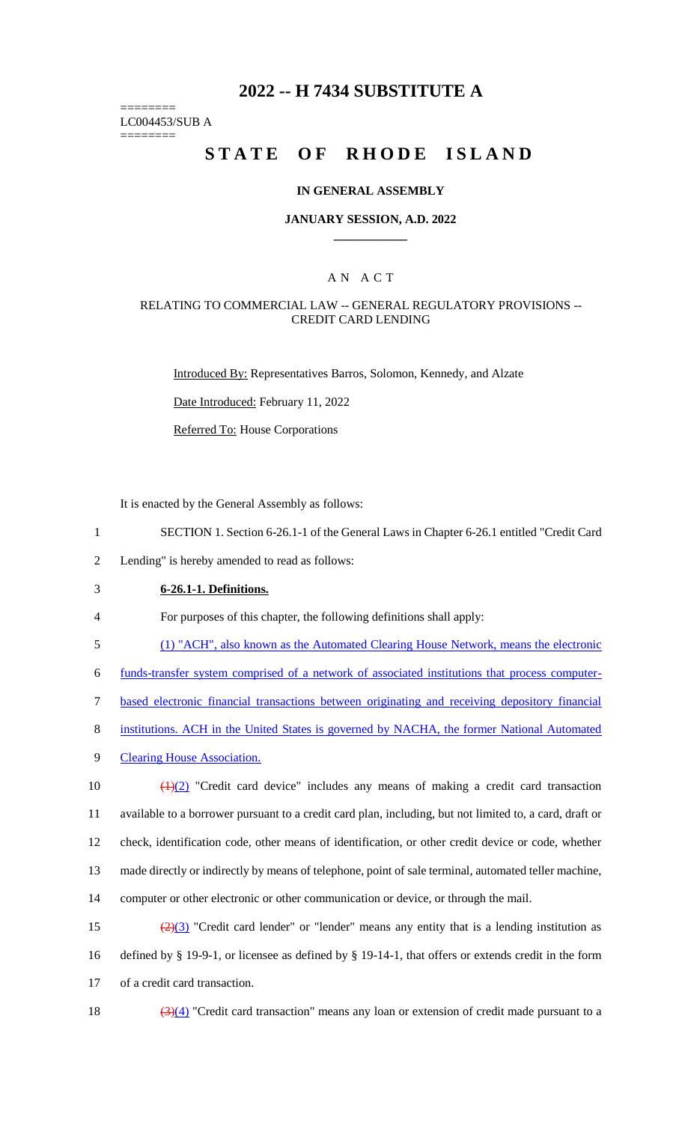# **2022 -- H 7434 SUBSTITUTE A**

======== LC004453/SUB A

========

# **STATE OF RHODE ISLAND**

### **IN GENERAL ASSEMBLY**

### **JANUARY SESSION, A.D. 2022 \_\_\_\_\_\_\_\_\_\_\_\_**

# A N A C T

### RELATING TO COMMERCIAL LAW -- GENERAL REGULATORY PROVISIONS -- CREDIT CARD LENDING

Introduced By: Representatives Barros, Solomon, Kennedy, and Alzate

Date Introduced: February 11, 2022

Referred To: House Corporations

It is enacted by the General Assembly as follows:

1 SECTION 1. Section 6-26.1-1 of the General Laws in Chapter 6-26.1 entitled "Credit Card

2 Lending" is hereby amended to read as follows:

3 **6-26.1-1. Definitions.**

4 For purposes of this chapter, the following definitions shall apply:

5 (1) "ACH", also known as the Automated Clearing House Network, means the electronic

6 funds-transfer system comprised of a network of associated institutions that process computer-

7 based electronic financial transactions between originating and receiving depository financial

- 8 institutions. ACH in the United States is governed by NACHA, the former National Automated
- 9 Clearing House Association.

 $\left(\frac{1}{2}\right)$  "Credit card device" includes any means of making a credit card transaction available to a borrower pursuant to a credit card plan, including, but not limited to, a card, draft or check, identification code, other means of identification, or other credit device or code, whether made directly or indirectly by means of telephone, point of sale terminal, automated teller machine, computer or other electronic or other communication or device, or through the mail.

15  $\left(\frac{2}{3}\right)$  "Credit card lender" or "lender" means any entity that is a lending institution as 16 defined by § 19-9-1, or licensee as defined by § 19-14-1, that offers or extends credit in the form 17 of a credit card transaction.

18  $(3)(4)$  "Credit card transaction" means any loan or extension of credit made pursuant to a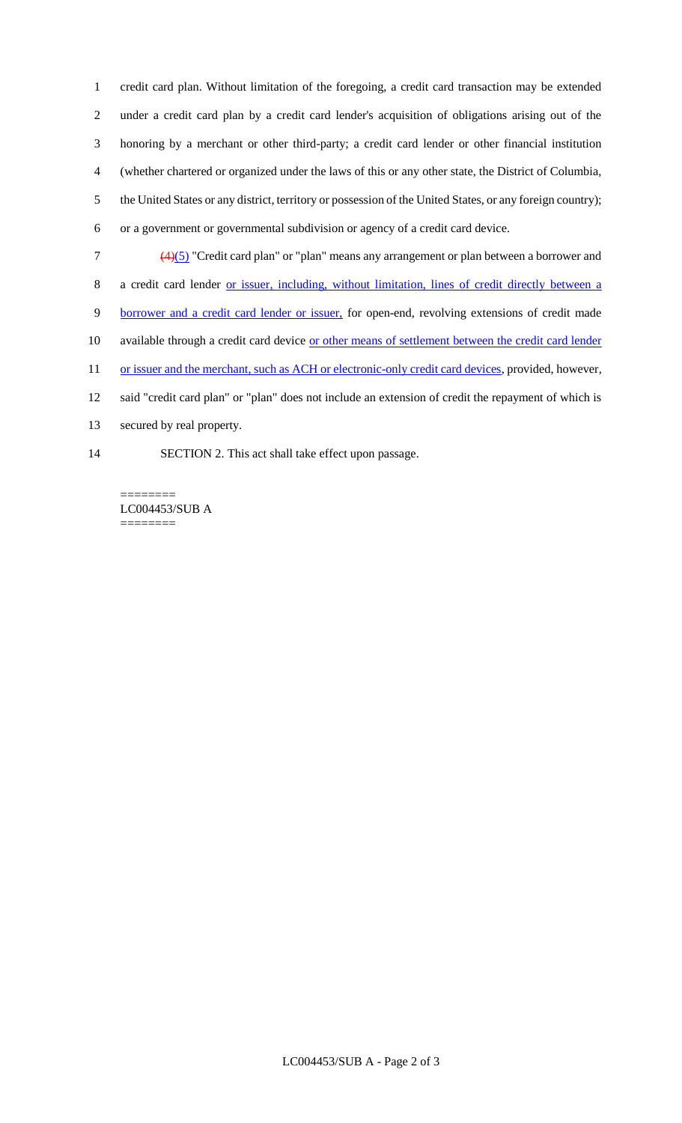credit card plan. Without limitation of the foregoing, a credit card transaction may be extended under a credit card plan by a credit card lender's acquisition of obligations arising out of the honoring by a merchant or other third-party; a credit card lender or other financial institution (whether chartered or organized under the laws of this or any other state, the District of Columbia, the United States or any district, territory or possession of the United States, or any foreign country); or a government or governmental subdivision or agency of a credit card device.

(4)(5) "Credit card plan" or "plan" means any arrangement or plan between a borrower and

a credit card lender or issuer, including, without limitation, lines of credit directly between a

- borrower and a credit card lender or issuer, for open-end, revolving extensions of credit made
- 10 available through a credit card device or other means of settlement between the credit card lender

11 or issuer and the merchant, such as ACH or electronic-only credit card devices, provided, however,

- said "credit card plan" or "plan" does not include an extension of credit the repayment of which is
- secured by real property.
- SECTION 2. This act shall take effect upon passage.

LC004453/SUB A ========

========